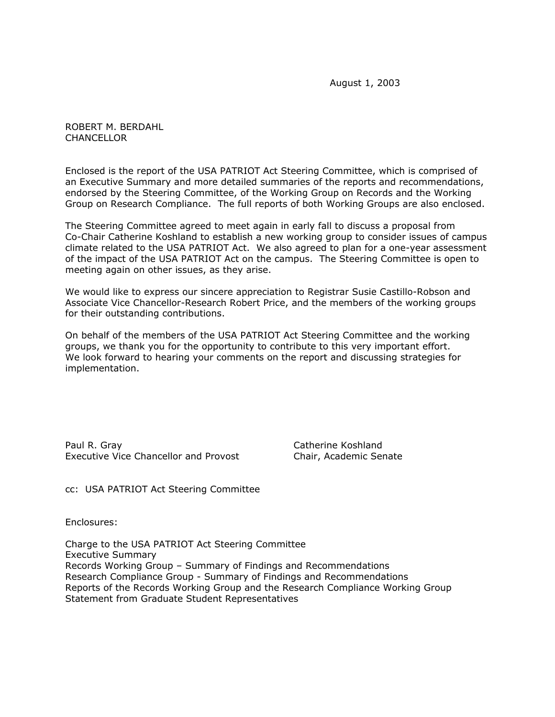August 1, 2003

ROBERT M. BERDAHL **CHANCELLOR** 

Enclosed is the report of the USA PATRIOT Act Steering Committee, which is comprised of an Executive Summary and more detailed summaries of the reports and recommendations, endorsed by the Steering Committee, of the Working Group on Records and the Working Group on Research Compliance. The full reports of both Working Groups are also enclosed.

The Steering Committee agreed to meet again in early fall to discuss a proposal from Co-Chair Catherine Koshland to establish a new working group to consider issues of campus climate related to the USA PATRIOT Act. We also agreed to plan for a one-year assessment of the impact of the USA PATRIOT Act on the campus. The Steering Committee is open to meeting again on other issues, as they arise.

We would like to express our sincere appreciation to Registrar Susie Castillo-Robson and Associate Vice Chancellor-Research Robert Price, and the members of the working groups for their outstanding contributions.

On behalf of the members of the USA PATRIOT Act Steering Committee and the working groups, we thank you for the opportunity to contribute to this very important effort. We look forward to hearing your comments on the report and discussing strategies for implementation.

Paul R. Gray Catherine Koshland Executive Vice Chancellor and Provost Chair, Academic Senate

cc: USA PATRIOT Act Steering Committee

Enclosures:

Charge to the USA PATRIOT Act Steering Committee Executive Summary Records Working Group – Summary of Findings and Recommendations Research Compliance Group - Summary of Findings and Recommendations Reports of the Records Working Group and the Research Compliance Working Group Statement from Graduate Student Representatives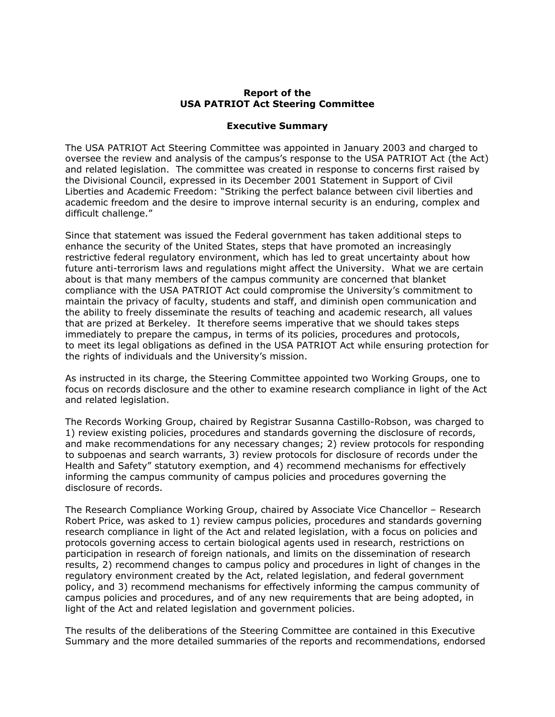## **Report of the USA PATRIOT Act Steering Committee**

#### **Executive Summary**

The USA PATRIOT Act Steering Committee was appointed in January 2003 and charged to oversee the review and analysis of the campus's response to the USA PATRIOT Act (the Act) and related legislation. The committee was created in response to concerns first raised by the Divisional Council, expressed in its December 2001 Statement in Support of Civil Liberties and Academic Freedom: "Striking the perfect balance between civil liberties and academic freedom and the desire to improve internal security is an enduring, complex and difficult challenge."

Since that statement was issued the Federal government has taken additional steps to enhance the security of the United States, steps that have promoted an increasingly restrictive federal regulatory environment, which has led to great uncertainty about how future anti-terrorism laws and regulations might affect the University. What we are certain about is that many members of the campus community are concerned that blanket compliance with the USA PATRIOT Act could compromise the University's commitment to maintain the privacy of faculty, students and staff, and diminish open communication and the ability to freely disseminate the results of teaching and academic research, all values that are prized at Berkeley. It therefore seems imperative that we should takes steps immediately to prepare the campus, in terms of its policies, procedures and protocols, to meet its legal obligations as defined in the USA PATRIOT Act while ensuring protection for the rights of individuals and the University's mission.

As instructed in its charge, the Steering Committee appointed two Working Groups, one to focus on records disclosure and the other to examine research compliance in light of the Act and related legislation.

The Records Working Group, chaired by Registrar Susanna Castillo-Robson, was charged to 1) review existing policies, procedures and standards governing the disclosure of records, and make recommendations for any necessary changes; 2) review protocols for responding to subpoenas and search warrants, 3) review protocols for disclosure of records under the Health and Safety" statutory exemption, and 4) recommend mechanisms for effectively informing the campus community of campus policies and procedures governing the disclosure of records.

The Research Compliance Working Group, chaired by Associate Vice Chancellor – Research Robert Price, was asked to 1) review campus policies, procedures and standards governing research compliance in light of the Act and related legislation, with a focus on policies and protocols governing access to certain biological agents used in research, restrictions on participation in research of foreign nationals, and limits on the dissemination of research results, 2) recommend changes to campus policy and procedures in light of changes in the regulatory environment created by the Act, related legislation, and federal government policy, and 3) recommend mechanisms for effectively informing the campus community of campus policies and procedures, and of any new requirements that are being adopted, in light of the Act and related legislation and government policies.

The results of the deliberations of the Steering Committee are contained in this Executive Summary and the more detailed summaries of the reports and recommendations, endorsed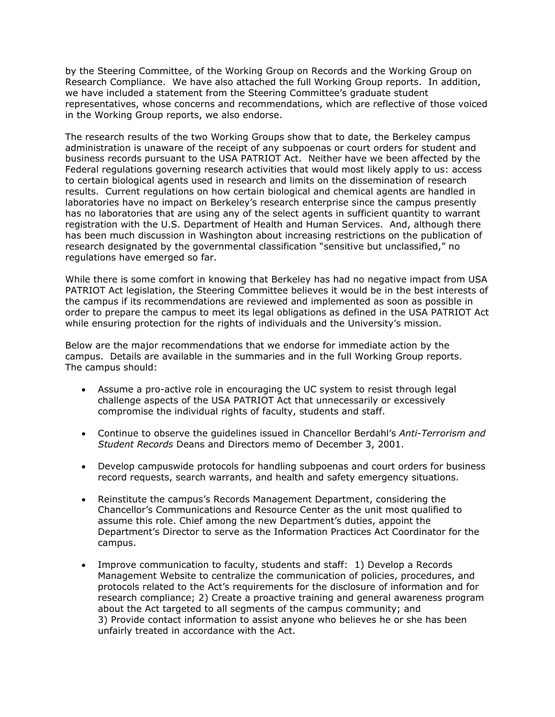by the Steering Committee, of the Working Group on Records and the Working Group on Research Compliance. We have also attached the full Working Group reports. In addition, we have included a statement from the Steering Committee's graduate student representatives, whose concerns and recommendations, which are reflective of those voiced in the Working Group reports, we also endorse.

The research results of the two Working Groups show that to date, the Berkeley campus administration is unaware of the receipt of any subpoenas or court orders for student and business records pursuant to the USA PATRIOT Act. Neither have we been affected by the Federal regulations governing research activities that would most likely apply to us: access to certain biological agents used in research and limits on the dissemination of research results. Current regulations on how certain biological and chemical agents are handled in laboratories have no impact on Berkeley's research enterprise since the campus presently has no laboratories that are using any of the select agents in sufficient quantity to warrant registration with the U.S. Department of Health and Human Services. And, although there has been much discussion in Washington about increasing restrictions on the publication of research designated by the governmental classification "sensitive but unclassified," no regulations have emerged so far.

While there is some comfort in knowing that Berkeley has had no negative impact from USA PATRIOT Act legislation, the Steering Committee believes it would be in the best interests of the campus if its recommendations are reviewed and implemented as soon as possible in order to prepare the campus to meet its legal obligations as defined in the USA PATRIOT Act while ensuring protection for the rights of individuals and the University's mission.

Below are the major recommendations that we endorse for immediate action by the campus. Details are available in the summaries and in the full Working Group reports. The campus should:

- Assume a pro-active role in encouraging the UC system to resist through legal challenge aspects of the USA PATRIOT Act that unnecessarily or excessively compromise the individual rights of faculty, students and staff.
- Continue to observe the guidelines issued in Chancellor Berdahl's *Anti-Terrorism and Student Records* Deans and Directors memo of December 3, 2001.
- Develop campuswide protocols for handling subpoenas and court orders for business record requests, search warrants, and health and safety emergency situations.
- Reinstitute the campus's Records Management Department, considering the Chancellor's Communications and Resource Center as the unit most qualified to assume this role. Chief among the new Department's duties, appoint the Department's Director to serve as the Information Practices Act Coordinator for the campus.
- Improve communication to faculty, students and staff: 1) Develop a Records Management Website to centralize the communication of policies, procedures, and protocols related to the Act's requirements for the disclosure of information and for research compliance; 2) Create a proactive training and general awareness program about the Act targeted to all segments of the campus community; and 3) Provide contact information to assist anyone who believes he or she has been unfairly treated in accordance with the Act.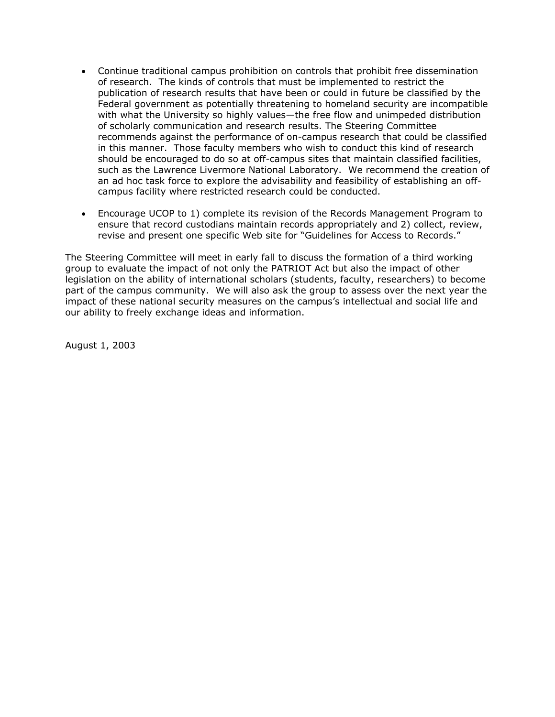- Continue traditional campus prohibition on controls that prohibit free dissemination of research. The kinds of controls that must be implemented to restrict the publication of research results that have been or could in future be classified by the Federal government as potentially threatening to homeland security are incompatible with what the University so highly values—the free flow and unimpeded distribution of scholarly communication and research results. The Steering Committee recommends against the performance of on-campus research that could be classified in this manner. Those faculty members who wish to conduct this kind of research should be encouraged to do so at off-campus sites that maintain classified facilities, such as the Lawrence Livermore National Laboratory. We recommend the creation of an ad hoc task force to explore the advisability and feasibility of establishing an offcampus facility where restricted research could be conducted.
- Encourage UCOP to 1) complete its revision of the Records Management Program to ensure that record custodians maintain records appropriately and 2) collect, review, revise and present one specific Web site for "Guidelines for Access to Records."

The Steering Committee will meet in early fall to discuss the formation of a third working group to evaluate the impact of not only the PATRIOT Act but also the impact of other legislation on the ability of international scholars (students, faculty, researchers) to become part of the campus community. We will also ask the group to assess over the next year the impact of these national security measures on the campus's intellectual and social life and our ability to freely exchange ideas and information.

August 1, 2003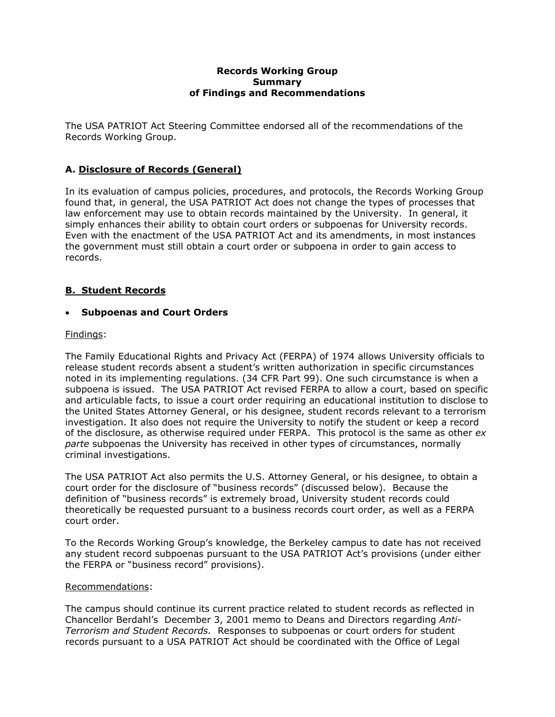#### **Records Working Group Summary of Findings and Recommendations**

The USA PATRIOT Act Steering Committee endorsed all of the recommendations of the Records Working Group.

# **A. Disclosure of Records (General)**

In its evaluation of campus policies, procedures, and protocols, the Records Working Group found that, in general, the USA PATRIOT Act does not change the types of processes that law enforcement may use to obtain records maintained by the University. In general, it simply enhances their ability to obtain court orders or subpoenas for University records. Even with the enactment of the USA PATRIOT Act and its amendments, in most instances the government must still obtain a court order or subpoena in order to gain access to records.

# **B. Student Records**

# • **Subpoenas and Court Orders**

## Findings:

The Family Educational Rights and Privacy Act (FERPA) of 1974 allows University officials to release student records absent a student's written authorization in specific circumstances noted in its implementing regulations. (34 CFR Part 99). One such circumstance is when a subpoena is issued. The USA PATRIOT Act revised FERPA to allow a court, based on specific and articulable facts, to issue a court order requiring an educational institution to disclose to the United States Attorney General, or his designee, student records relevant to a terrorism investigation. It also does not require the University to notify the student or keep a record of the disclosure, as otherwise required under FERPA. This protocol is the same as other *ex parte* subpoenas the University has received in other types of circumstances, normally criminal investigations.

The USA PATRIOT Act also permits the U.S. Attorney General, or his designee, to obtain a court order for the disclosure of "business records" (discussed below). Because the definition of "business records" is extremely broad, University student records could theoretically be requested pursuant to a business records court order, as well as a FERPA court order.

To the Records Working Group's knowledge, the Berkeley campus to date has not received any student record subpoenas pursuant to the USA PATRIOT Act's provisions (under either the FERPA or "business record" provisions).

## Recommendations:

The campus should continue its current practice related to student records as reflected in Chancellor Berdahl's December 3, 2001 memo to Deans and Directors regarding *Anti-Terrorism and Student Records.* Responses to subpoenas or court orders for student records pursuant to a USA PATRIOT Act should be coordinated with the Office of Legal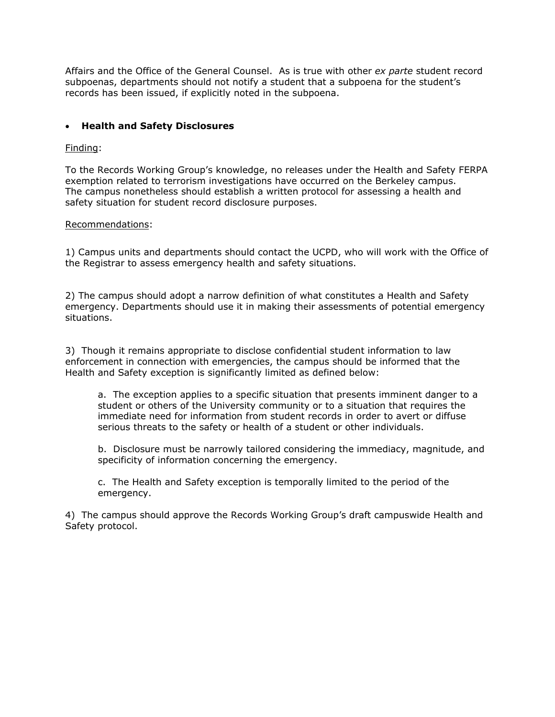Affairs and the Office of the General Counsel. As is true with other *ex parte* student record subpoenas, departments should not notify a student that a subpoena for the student's records has been issued, if explicitly noted in the subpoena.

## • **Health and Safety Disclosures**

## Finding:

To the Records Working Group's knowledge, no releases under the Health and Safety FERPA exemption related to terrorism investigations have occurred on the Berkeley campus. The campus nonetheless should establish a written protocol for assessing a health and safety situation for student record disclosure purposes.

#### Recommendations:

1) Campus units and departments should contact the UCPD, who will work with the Office of the Registrar to assess emergency health and safety situations.

2) The campus should adopt a narrow definition of what constitutes a Health and Safety emergency. Departments should use it in making their assessments of potential emergency situations.

3) Though it remains appropriate to disclose confidential student information to law enforcement in connection with emergencies, the campus should be informed that the Health and Safety exception is significantly limited as defined below:

a. The exception applies to a specific situation that presents imminent danger to a student or others of the University community or to a situation that requires the immediate need for information from student records in order to avert or diffuse serious threats to the safety or health of a student or other individuals.

b. Disclosure must be narrowly tailored considering the immediacy, magnitude, and specificity of information concerning the emergency.

c. The Health and Safety exception is temporally limited to the period of the emergency.

4) The campus should approve the Records Working Group's draft campuswide Health and Safety protocol.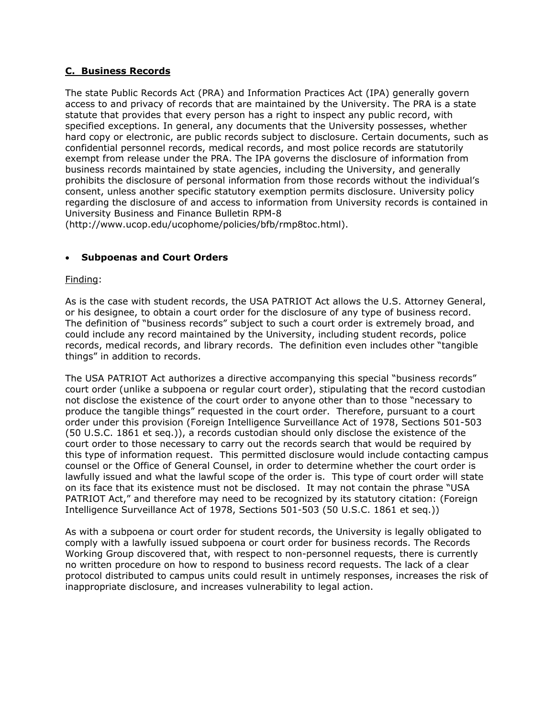## **C. Business Records**

The state Public Records Act (PRA) and Information Practices Act (IPA) generally govern access to and privacy of records that are maintained by the University. The PRA is a state statute that provides that every person has a right to inspect any public record, with specified exceptions. In general, any documents that the University possesses, whether hard copy or electronic, are public records subject to disclosure. Certain documents, such as confidential personnel records, medical records, and most police records are statutorily exempt from release under the PRA. The IPA governs the disclosure of information from business records maintained by state agencies, including the University, and generally prohibits the disclosure of personal information from those records without the individual's consent, unless another specific statutory exemption permits disclosure. University policy regarding the disclosure of and access to information from University records is contained in University Business and Finance Bulletin RPM-8

(http://www.ucop.edu/ucophome/policies/bfb/rmp8toc.html).

# • **Subpoenas and Court Orders**

## Finding:

As is the case with student records, the USA PATRIOT Act allows the U.S. Attorney General, or his designee, to obtain a court order for the disclosure of any type of business record. The definition of "business records" subject to such a court order is extremely broad, and could include any record maintained by the University, including student records, police records, medical records, and library records. The definition even includes other "tangible things" in addition to records.

The USA PATRIOT Act authorizes a directive accompanying this special "business records" court order (unlike a subpoena or regular court order), stipulating that the record custodian not disclose the existence of the court order to anyone other than to those "necessary to produce the tangible things" requested in the court order. Therefore, pursuant to a court order under this provision (Foreign Intelligence Surveillance Act of 1978, Sections 501-503 (50 U.S.C. 1861 et seq.)), a records custodian should only disclose the existence of the court order to those necessary to carry out the records search that would be required by this type of information request. This permitted disclosure would include contacting campus counsel or the Office of General Counsel, in order to determine whether the court order is lawfully issued and what the lawful scope of the order is. This type of court order will state on its face that its existence must not be disclosed. It may not contain the phrase "USA PATRIOT Act," and therefore may need to be recognized by its statutory citation: (Foreign Intelligence Surveillance Act of 1978, Sections 501-503 (50 U.S.C. 1861 et seq.))

As with a subpoena or court order for student records, the University is legally obligated to comply with a lawfully issued subpoena or court order for business records. The Records Working Group discovered that, with respect to non-personnel requests, there is currently no written procedure on how to respond to business record requests. The lack of a clear protocol distributed to campus units could result in untimely responses, increases the risk of inappropriate disclosure, and increases vulnerability to legal action.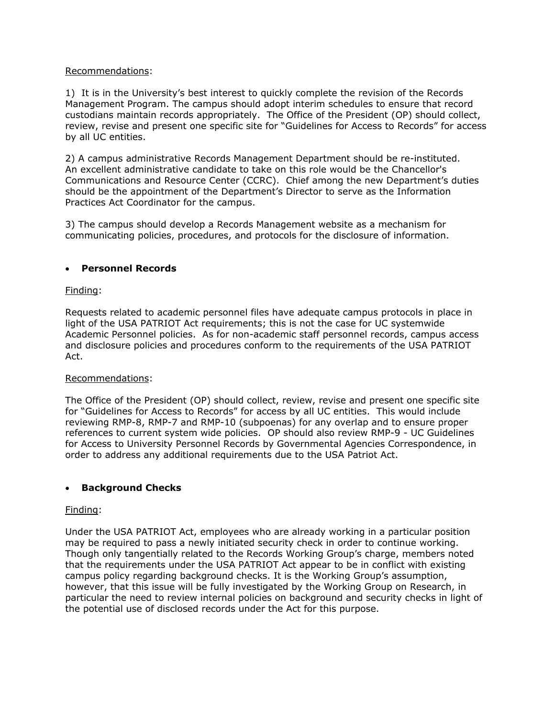## Recommendations:

1) It is in the University's best interest to quickly complete the revision of the Records Management Program. The campus should adopt interim schedules to ensure that record custodians maintain records appropriately. The Office of the President (OP) should collect, review, revise and present one specific site for "Guidelines for Access to Records" for access by all UC entities.

2) A campus administrative Records Management Department should be re-instituted. An excellent administrative candidate to take on this role would be the Chancellor's Communications and Resource Center (CCRC). Chief among the new Department's duties should be the appointment of the Department's Director to serve as the Information Practices Act Coordinator for the campus.

3) The campus should develop a Records Management website as a mechanism for communicating policies, procedures, and protocols for the disclosure of information.

## • **Personnel Records**

## Finding:

Requests related to academic personnel files have adequate campus protocols in place in light of the USA PATRIOT Act requirements; this is not the case for UC systemwide Academic Personnel policies. As for non-academic staff personnel records, campus access and disclosure policies and procedures conform to the requirements of the USA PATRIOT Act.

## Recommendations:

The Office of the President (OP) should collect, review, revise and present one specific site for "Guidelines for Access to Records" for access by all UC entities. This would include reviewing RMP-8, RMP-7 and RMP-10 (subpoenas) for any overlap and to ensure proper references to current system wide policies. OP should also review RMP-9 - UC Guidelines for Access to University Personnel Records by Governmental Agencies Correspondence, in order to address any additional requirements due to the USA Patriot Act.

# • **Background Checks**

## Finding:

Under the USA PATRIOT Act, employees who are already working in a particular position may be required to pass a newly initiated security check in order to continue working. Though only tangentially related to the Records Working Group's charge, members noted that the requirements under the USA PATRIOT Act appear to be in conflict with existing campus policy regarding background checks. It is the Working Group's assumption, however, that this issue will be fully investigated by the Working Group on Research, in particular the need to review internal policies on background and security checks in light of the potential use of disclosed records under the Act for this purpose.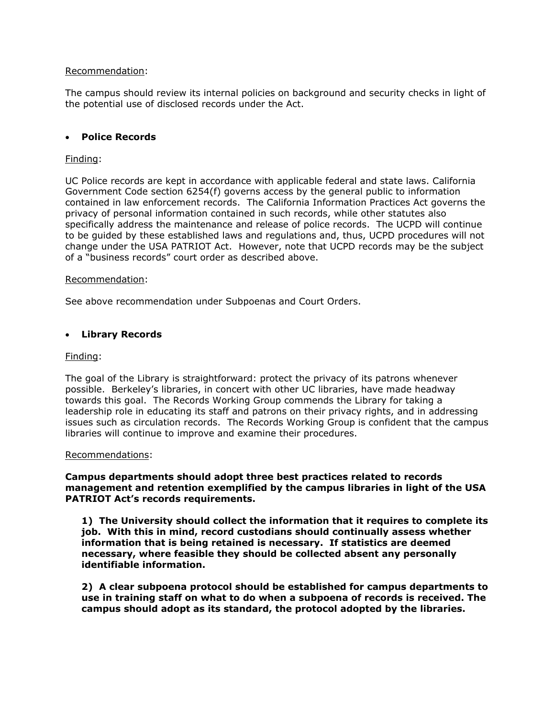### Recommendation:

The campus should review its internal policies on background and security checks in light of the potential use of disclosed records under the Act.

## • **Police Records**

### Finding:

UC Police records are kept in accordance with applicable federal and state laws. California Government Code section 6254(f) governs access by the general public to information contained in law enforcement records. The California Information Practices Act governs the privacy of personal information contained in such records, while other statutes also specifically address the maintenance and release of police records. The UCPD will continue to be guided by these established laws and regulations and, thus, UCPD procedures will not change under the USA PATRIOT Act. However, note that UCPD records may be the subject of a "business records" court order as described above.

#### Recommendation:

See above recommendation under Subpoenas and Court Orders.

#### • **Library Records**

#### Finding:

The goal of the Library is straightforward: protect the privacy of its patrons whenever possible. Berkeley's libraries, in concert with other UC libraries, have made headway towards this goal. The Records Working Group commends the Library for taking a leadership role in educating its staff and patrons on their privacy rights, and in addressing issues such as circulation records. The Records Working Group is confident that the campus libraries will continue to improve and examine their procedures.

#### Recommendations:

## **Campus departments should adopt three best practices related to records management and retention exemplified by the campus libraries in light of the USA PATRIOT Act's records requirements.**

**1) The University should collect the information that it requires to complete its job. With this in mind, record custodians should continually assess whether information that is being retained is necessary. If statistics are deemed necessary, where feasible they should be collected absent any personally identifiable information.** 

**2) A clear subpoena protocol should be established for campus departments to use in training staff on what to do when a subpoena of records is received. The campus should adopt as its standard, the protocol adopted by the libraries.**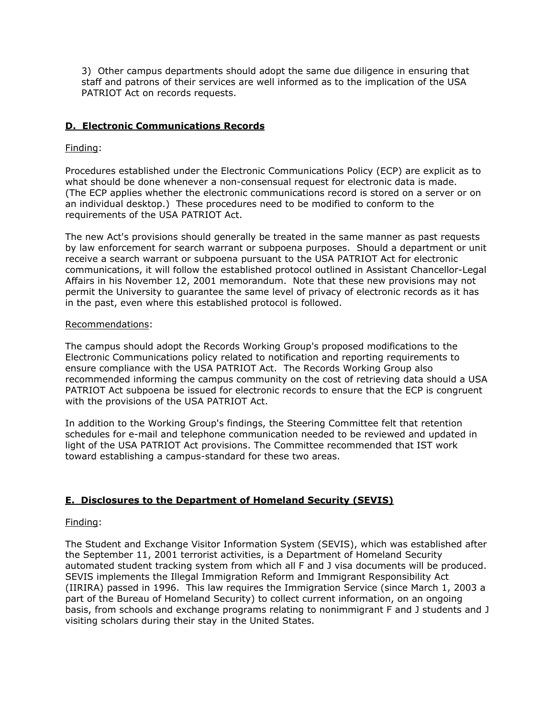3) Other campus departments should adopt the same due diligence in ensuring that staff and patrons of their services are well informed as to the implication of the USA PATRIOT Act on records requests.

## **D. Electronic Communications Records**

## Finding:

Procedures established under the Electronic Communications Policy (ECP) are explicit as to what should be done whenever a non-consensual request for electronic data is made. (The ECP applies whether the electronic communications record is stored on a server or on an individual desktop.) These procedures need to be modified to conform to the requirements of the USA PATRIOT Act.

The new Act's provisions should generally be treated in the same manner as past requests by law enforcement for search warrant or subpoena purposes. Should a department or unit receive a search warrant or subpoena pursuant to the USA PATRIOT Act for electronic communications, it will follow the established protocol outlined in Assistant Chancellor-Legal Affairs in his November 12, 2001 memorandum. Note that these new provisions may not permit the University to guarantee the same level of privacy of electronic records as it has in the past, even where this established protocol is followed.

## Recommendations:

The campus should adopt the Records Working Group's proposed modifications to the Electronic Communications policy related to notification and reporting requirements to ensure compliance with the USA PATRIOT Act. The Records Working Group also recommended informing the campus community on the cost of retrieving data should a USA PATRIOT Act subpoena be issued for electronic records to ensure that the ECP is congruent with the provisions of the USA PATRIOT Act.

In addition to the Working Group's findings, the Steering Committee felt that retention schedules for e-mail and telephone communication needed to be reviewed and updated in light of the USA PATRIOT Act provisions. The Committee recommended that IST work toward establishing a campus-standard for these two areas.

# **E. Disclosures to the Department of Homeland Security (SEVIS)**

## Finding:

The Student and Exchange Visitor Information System (SEVIS), which was established after the September 11, 2001 terrorist activities, is a Department of Homeland Security automated student tracking system from which all F and J visa documents will be produced. SEVIS implements the Illegal Immigration Reform and Immigrant Responsibility Act (IIRIRA) passed in 1996. This law requires the Immigration Service (since March 1, 2003 a part of the Bureau of Homeland Security) to collect current information, on an ongoing basis, from schools and exchange programs relating to nonimmigrant F and J students and J visiting scholars during their stay in the United States.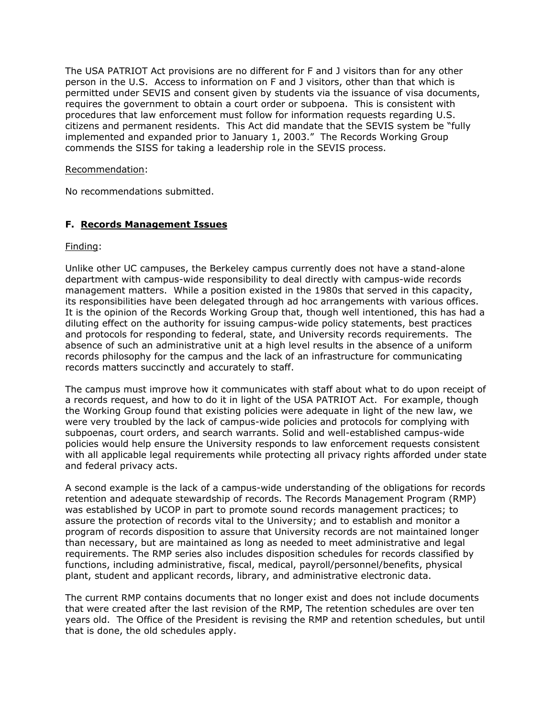The USA PATRIOT Act provisions are no different for F and J visitors than for any other person in the U.S. Access to information on F and J visitors, other than that which is permitted under SEVIS and consent given by students via the issuance of visa documents, requires the government to obtain a court order or subpoena. This is consistent with procedures that law enforcement must follow for information requests regarding U.S. citizens and permanent residents. This Act did mandate that the SEVIS system be "fully implemented and expanded prior to January 1, 2003." The Records Working Group commends the SISS for taking a leadership role in the SEVIS process.

## Recommendation:

No recommendations submitted.

# **F. Records Management Issues**

Finding:

Unlike other UC campuses, the Berkeley campus currently does not have a stand-alone department with campus-wide responsibility to deal directly with campus-wide records management matters. While a position existed in the 1980s that served in this capacity, its responsibilities have been delegated through ad hoc arrangements with various offices. It is the opinion of the Records Working Group that, though well intentioned, this has had a diluting effect on the authority for issuing campus-wide policy statements, best practices and protocols for responding to federal, state, and University records requirements. The absence of such an administrative unit at a high level results in the absence of a uniform records philosophy for the campus and the lack of an infrastructure for communicating records matters succinctly and accurately to staff.

The campus must improve how it communicates with staff about what to do upon receipt of a records request, and how to do it in light of the USA PATRIOT Act. For example, though the Working Group found that existing policies were adequate in light of the new law, we were very troubled by the lack of campus-wide policies and protocols for complying with subpoenas, court orders, and search warrants. Solid and well-established campus-wide policies would help ensure the University responds to law enforcement requests consistent with all applicable legal requirements while protecting all privacy rights afforded under state and federal privacy acts.

A second example is the lack of a campus-wide understanding of the obligations for records retention and adequate stewardship of records. The Records Management Program (RMP) was established by UCOP in part to promote sound records management practices; to assure the protection of records vital to the University; and to establish and monitor a program of records disposition to assure that University records are not maintained longer than necessary, but are maintained as long as needed to meet administrative and legal requirements. The RMP series also includes disposition schedules for records classified by functions, including administrative, fiscal, medical, payroll/personnel/benefits, physical plant, student and applicant records, library, and administrative electronic data.

The current RMP contains documents that no longer exist and does not include documents that were created after the last revision of the RMP, The retention schedules are over ten years old. The Office of the President is revising the RMP and retention schedules, but until that is done, the old schedules apply.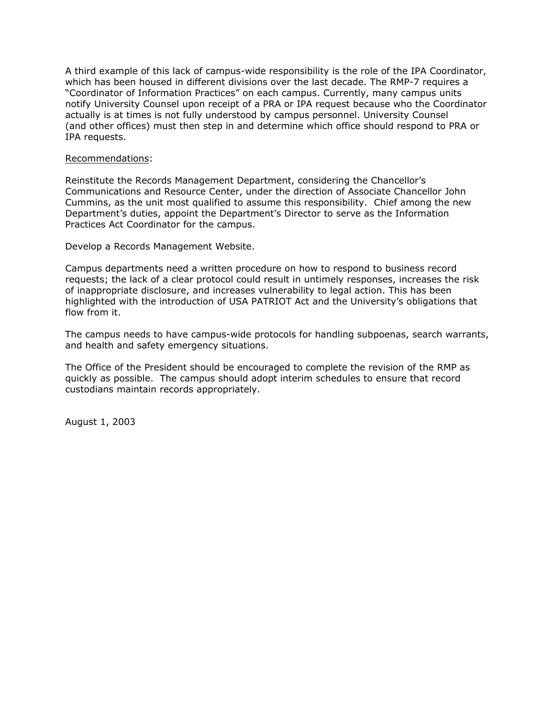A third example of this lack of campus-wide responsibility is the role of the IPA Coordinator, which has been housed in different divisions over the last decade. The RMP-7 requires a "Coordinator of Information Practices" on each campus. Currently, many campus units notify University Counsel upon receipt of a PRA or IPA request because who the Coordinator actually is at times is not fully understood by campus personnel. University Counsel (and other offices) must then step in and determine which office should respond to PRA or IPA requests.

#### Recommendations:

Reinstitute the Records Management Department, considering the Chancellor's Communications and Resource Center, under the direction of Associate Chancellor John Cummins, as the unit most qualified to assume this responsibility. Chief among the new Department's duties, appoint the Department's Director to serve as the Information Practices Act Coordinator for the campus.

Develop a Records Management Website.

Campus departments need a written procedure on how to respond to business record requests; the lack of a clear protocol could result in untimely responses, increases the risk of inappropriate disclosure, and increases vulnerability to legal action. This has been highlighted with the introduction of USA PATRIOT Act and the University's obligations that flow from it.

The campus needs to have campus-wide protocols for handling subpoenas, search warrants, and health and safety emergency situations.

The Office of the President should be encouraged to complete the revision of the RMP as quickly as possible. The campus should adopt interim schedules to ensure that record custodians maintain records appropriately.

August 1, 2003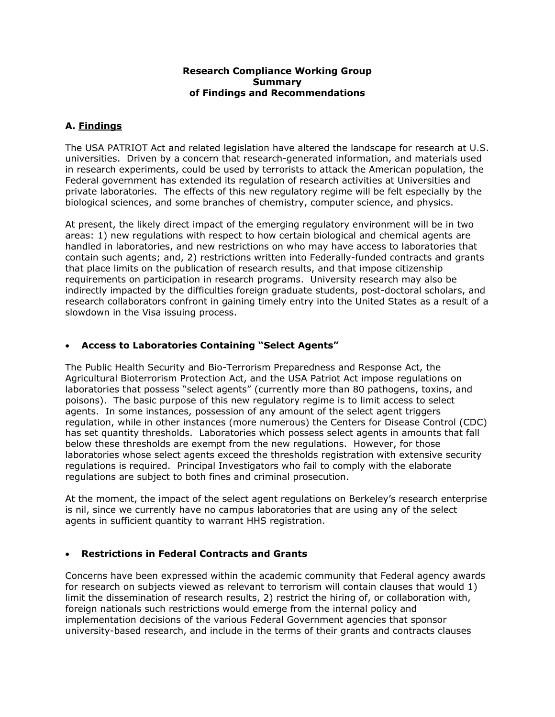### **Research Compliance Working Group Summary of Findings and Recommendations**

# **A. Findings**

The USA PATRIOT Act and related legislation have altered the landscape for research at U.S. universities. Driven by a concern that research-generated information, and materials used in research experiments, could be used by terrorists to attack the American population, the Federal government has extended its regulation of research activities at Universities and private laboratories. The effects of this new regulatory regime will be felt especially by the biological sciences, and some branches of chemistry, computer science, and physics.

At present, the likely direct impact of the emerging regulatory environment will be in two areas: 1) new regulations with respect to how certain biological and chemical agents are handled in laboratories, and new restrictions on who may have access to laboratories that contain such agents; and, 2) restrictions written into Federally-funded contracts and grants that place limits on the publication of research results, and that impose citizenship requirements on participation in research programs. University research may also be indirectly impacted by the difficulties foreign graduate students, post-doctoral scholars, and research collaborators confront in gaining timely entry into the United States as a result of a slowdown in the Visa issuing process.

# • **Access to Laboratories Containing "Select Agents"**

The Public Health Security and Bio-Terrorism Preparedness and Response Act, the Agricultural Bioterrorism Protection Act, and the USA Patriot Act impose regulations on laboratories that possess "select agents" (currently more than 80 pathogens, toxins, and poisons). The basic purpose of this new regulatory regime is to limit access to select agents. In some instances, possession of any amount of the select agent triggers regulation, while in other instances (more numerous) the Centers for Disease Control (CDC) has set quantity thresholds. Laboratories which possess select agents in amounts that fall below these thresholds are exempt from the new regulations. However, for those laboratories whose select agents exceed the thresholds registration with extensive security regulations is required. Principal Investigators who fail to comply with the elaborate regulations are subject to both fines and criminal prosecution.

At the moment, the impact of the select agent regulations on Berkeley's research enterprise is nil, since we currently have no campus laboratories that are using any of the select agents in sufficient quantity to warrant HHS registration.

# • **Restrictions in Federal Contracts and Grants**

Concerns have been expressed within the academic community that Federal agency awards for research on subjects viewed as relevant to terrorism will contain clauses that would 1) limit the dissemination of research results, 2) restrict the hiring of, or collaboration with, foreign nationals such restrictions would emerge from the internal policy and implementation decisions of the various Federal Government agencies that sponsor university-based research, and include in the terms of their grants and contracts clauses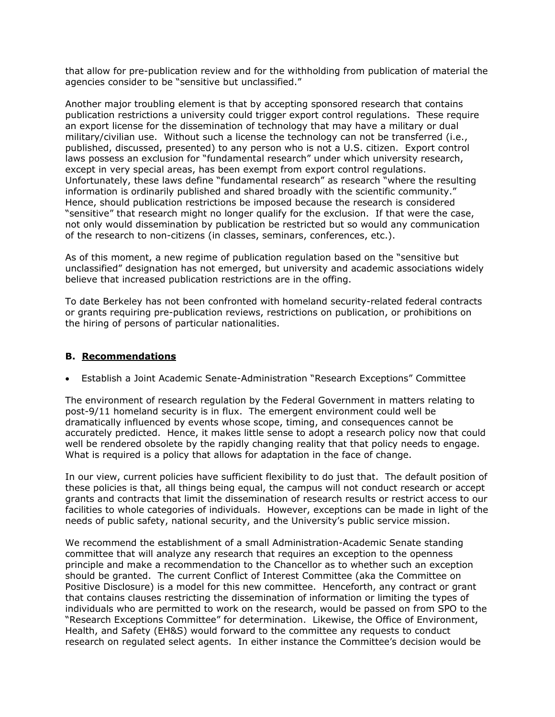that allow for pre-publication review and for the withholding from publication of material the agencies consider to be "sensitive but unclassified."

Another major troubling element is that by accepting sponsored research that contains publication restrictions a university could trigger export control regulations. These require an export license for the dissemination of technology that may have a military or dual military/civilian use. Without such a license the technology can not be transferred (i.e., published, discussed, presented) to any person who is not a U.S. citizen. Export control laws possess an exclusion for "fundamental research" under which university research, except in very special areas, has been exempt from export control regulations. Unfortunately, these laws define "fundamental research" as research "where the resulting information is ordinarily published and shared broadly with the scientific community." Hence, should publication restrictions be imposed because the research is considered "sensitive" that research might no longer qualify for the exclusion. If that were the case, not only would dissemination by publication be restricted but so would any communication of the research to non-citizens (in classes, seminars, conferences, etc.).

As of this moment, a new regime of publication regulation based on the "sensitive but unclassified" designation has not emerged, but university and academic associations widely believe that increased publication restrictions are in the offing.

To date Berkeley has not been confronted with homeland security-related federal contracts or grants requiring pre-publication reviews, restrictions on publication, or prohibitions on the hiring of persons of particular nationalities.

## **B. Recommendations**

• Establish a Joint Academic Senate-Administration "Research Exceptions" Committee

The environment of research regulation by the Federal Government in matters relating to post-9/11 homeland security is in flux. The emergent environment could well be dramatically influenced by events whose scope, timing, and consequences cannot be accurately predicted. Hence, it makes little sense to adopt a research policy now that could well be rendered obsolete by the rapidly changing reality that that policy needs to engage. What is required is a policy that allows for adaptation in the face of change.

In our view, current policies have sufficient flexibility to do just that. The default position of these policies is that, all things being equal, the campus will not conduct research or accept grants and contracts that limit the dissemination of research results or restrict access to our facilities to whole categories of individuals. However, exceptions can be made in light of the needs of public safety, national security, and the University's public service mission.

We recommend the establishment of a small Administration-Academic Senate standing committee that will analyze any research that requires an exception to the openness principle and make a recommendation to the Chancellor as to whether such an exception should be granted. The current Conflict of Interest Committee (aka the Committee on Positive Disclosure) is a model for this new committee. Henceforth, any contract or grant that contains clauses restricting the dissemination of information or limiting the types of individuals who are permitted to work on the research, would be passed on from SPO to the "Research Exceptions Committee" for determination. Likewise, the Office of Environment, Health, and Safety (EH&S) would forward to the committee any requests to conduct research on regulated select agents. In either instance the Committee's decision would be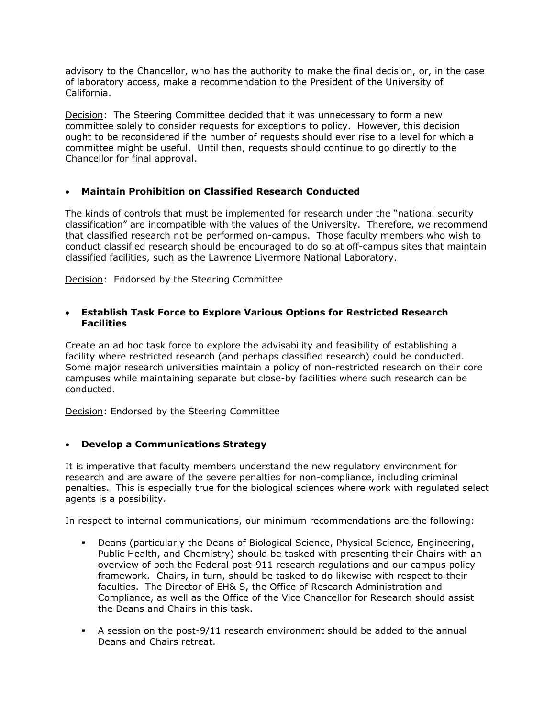advisory to the Chancellor, who has the authority to make the final decision, or, in the case of laboratory access, make a recommendation to the President of the University of California.

Decision: The Steering Committee decided that it was unnecessary to form a new committee solely to consider requests for exceptions to policy. However, this decision ought to be reconsidered if the number of requests should ever rise to a level for which a committee might be useful. Until then, requests should continue to go directly to the Chancellor for final approval.

## • **Maintain Prohibition on Classified Research Conducted**

The kinds of controls that must be implemented for research under the "national security classification" are incompatible with the values of the University. Therefore, we recommend that classified research not be performed on-campus. Those faculty members who wish to conduct classified research should be encouraged to do so at off-campus sites that maintain classified facilities, such as the Lawrence Livermore National Laboratory.

Decision: Endorsed by the Steering Committee

## • **Establish Task Force to Explore Various Options for Restricted Research Facilities**

Create an ad hoc task force to explore the advisability and feasibility of establishing a facility where restricted research (and perhaps classified research) could be conducted. Some major research universities maintain a policy of non-restricted research on their core campuses while maintaining separate but close-by facilities where such research can be conducted.

Decision: Endorsed by the Steering Committee

## • **Develop a Communications Strategy**

It is imperative that faculty members understand the new regulatory environment for research and are aware of the severe penalties for non-compliance, including criminal penalties. This is especially true for the biological sciences where work with regulated select agents is a possibility.

In respect to internal communications, our minimum recommendations are the following:

- Deans (particularly the Deans of Biological Science, Physical Science, Engineering, Public Health, and Chemistry) should be tasked with presenting their Chairs with an overview of both the Federal post-911 research regulations and our campus policy framework. Chairs, in turn, should be tasked to do likewise with respect to their faculties. The Director of EH& S, the Office of Research Administration and Compliance, as well as the Office of the Vice Chancellor for Research should assist the Deans and Chairs in this task.
- A session on the post-9/11 research environment should be added to the annual Deans and Chairs retreat.